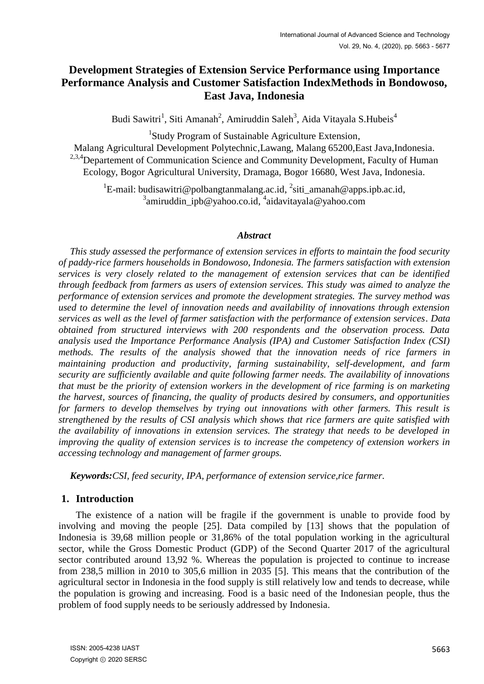# **Development Strategies of Extension Service Performance using Importance Performance Analysis and Customer Satisfaction IndexMethods in Bondowoso, East Java, Indonesia**

Budi Sawitri<sup>1</sup>, Siti Amanah<sup>2</sup>, Amiruddin Saleh<sup>3</sup>, Aida Vitayala S.Hubeis<sup>4</sup>

<sup>1</sup>Study Program of Sustainable Agriculture Extension,

Malang Agricultural Development Polytechnic,Lawang, Malang 65200,East Java,Indonesia. <sup>2,3,4</sup>Departement of Communication Science and Community Development, Faculty of Human Ecology, Bogor Agricultural University, Dramaga, Bogor 16680, West Java, Indonesia.

<sup>1</sup>E-mail: budisawitri@polbangtanmalang.ac.id, <sup>2</sup>siti\_amanah@apps.ipb.ac.id, <sup>3</sup>amiruddin\_ipb@yahoo.co.id, <sup>4</sup>aidavitayala@yahoo.com

### *Abstract*

*This study assessed the performance of extension services in efforts to maintain the food security of paddy-rice farmers households in Bondowoso, Indonesia. The farmers satisfaction with extension services is very closely related to the management of extension services that can be identified through feedback from farmers as users of extension services. This study was aimed to analyze the performance of extension services and promote the development strategies. The survey method was used to determine the level of innovation needs and availability of innovations through extension services as well as the level of farmer satisfaction with the performance of extension services. Data obtained from structured interviews with 200 respondents and the observation process. Data analysis used the Importance Performance Analysis (IPA) and Customer Satisfaction Index (CSI) methods. The results of the analysis showed that the innovation needs of rice farmers in maintaining production and productivity, farming sustainability, self-development, and farm security are sufficiently available and quite following farmer needs. The availability of innovations that must be the priority of extension workers in the development of rice farming is on marketing the harvest, sources of financing, the quality of products desired by consumers, and opportunities for farmers to develop themselves by trying out innovations with other farmers. This result is strengthened by the results of CSI analysis which shows that rice farmers are quite satisfied with the availability of innovations in extension services. The strategy that needs to be developed in improving the quality of extension services is to increase the competency of extension workers in accessing technology and management of farmer groups.*

*Keywords:CSI, feed security, IPA, performance of extension service,rice farmer.*

# **1. Introduction**

The existence of a nation will be fragile if the government is unable to provide food by involving and moving the people [25]. Data compiled by [13] shows that the population of Indonesia is 39,68 million people or 31,86% of the total population working in the agricultural sector, while the Gross Domestic Product (GDP) of the Second Quarter 2017 of the agricultural sector contributed around 13,92 %. Whereas the population is projected to continue to increase from 238,5 million in 2010 to 305,6 million in 2035 [5]. This means that the contribution of the agricultural sector in Indonesia in the food supply is still relatively low and tends to decrease, while the population is growing and increasing. Food is a basic need of the Indonesian people, thus the problem of food supply needs to be seriously addressed by Indonesia.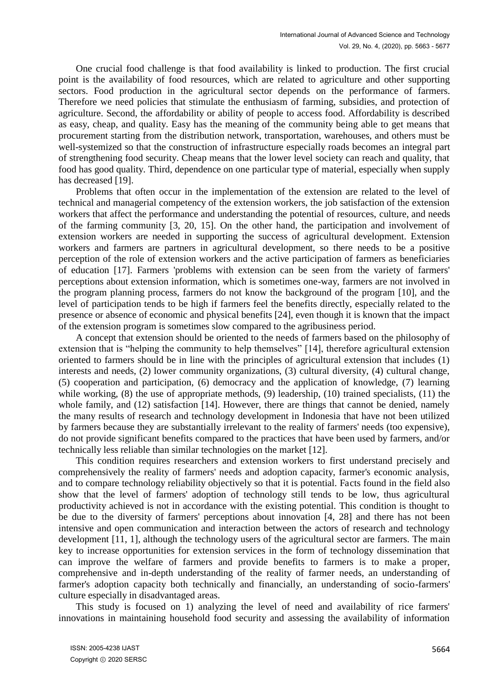One crucial food challenge is that food availability is linked to production. The first crucial point is the availability of food resources, which are related to agriculture and other supporting sectors. Food production in the agricultural sector depends on the performance of farmers. Therefore we need policies that stimulate the enthusiasm of farming, subsidies, and protection of agriculture. Second, the affordability or ability of people to access food. Affordability is described as easy, cheap, and quality. Easy has the meaning of the community being able to get means that procurement starting from the distribution network, transportation, warehouses, and others must be well-systemized so that the construction of infrastructure especially roads becomes an integral part of strengthening food security. Cheap means that the lower level society can reach and quality, that food has good quality. Third, dependence on one particular type of material, especially when supply has decreased [19].

Problems that often occur in the implementation of the extension are related to the level of technical and managerial competency of the extension workers, the job satisfaction of the extension workers that affect the performance and understanding the potential of resources, culture, and needs of the farming community [3, 20, 15]. On the other hand, the participation and involvement of extension workers are needed in supporting the success of agricultural development. Extension workers and farmers are partners in agricultural development, so there needs to be a positive perception of the role of extension workers and the active participation of farmers as beneficiaries of education [17]. Farmers 'problems with extension can be seen from the variety of farmers' perceptions about extension information, which is sometimes one-way, farmers are not involved in the program planning process, farmers do not know the background of the program [10], and the level of participation tends to be high if farmers feel the benefits directly, especially related to the presence or absence of economic and physical benefits [24], even though it is known that the impact of the extension program is sometimes slow compared to the agribusiness period.

A concept that extension should be oriented to the needs of farmers based on the philosophy of extension that is "helping the community to help themselves" [14], therefore agricultural extension oriented to farmers should be in line with the principles of agricultural extension that includes (1) interests and needs, (2) lower community organizations, (3) cultural diversity, (4) cultural change, (5) cooperation and participation, (6) democracy and the application of knowledge, (7) learning while working, (8) the use of appropriate methods, (9) leadership, (10) trained specialists, (11) the whole family, and (12) satisfaction [14]. However, there are things that cannot be denied, namely the many results of research and technology development in Indonesia that have not been utilized by farmers because they are substantially irrelevant to the reality of farmers' needs (too expensive), do not provide significant benefits compared to the practices that have been used by farmers, and/or technically less reliable than similar technologies on the market [12].

This condition requires researchers and extension workers to first understand precisely and comprehensively the reality of farmers' needs and adoption capacity, farmer's economic analysis, and to compare technology reliability objectively so that it is potential. Facts found in the field also show that the level of farmers' adoption of technology still tends to be low, thus agricultural productivity achieved is not in accordance with the existing potential. This condition is thought to be due to the diversity of farmers' perceptions about innovation [4, 28] and there has not been intensive and open communication and interaction between the actors of research and technology development [11, 1], although the technology users of the agricultural sector are farmers. The main key to increase opportunities for extension services in the form of technology dissemination that can improve the welfare of farmers and provide benefits to farmers is to make a proper, comprehensive and in-depth understanding of the reality of farmer needs, an understanding of farmer's adoption capacity both technically and financially, an understanding of socio-farmers' culture especially in disadvantaged areas.

This study is focused on 1) analyzing the level of need and availability of rice farmers' innovations in maintaining household food security and assessing the availability of information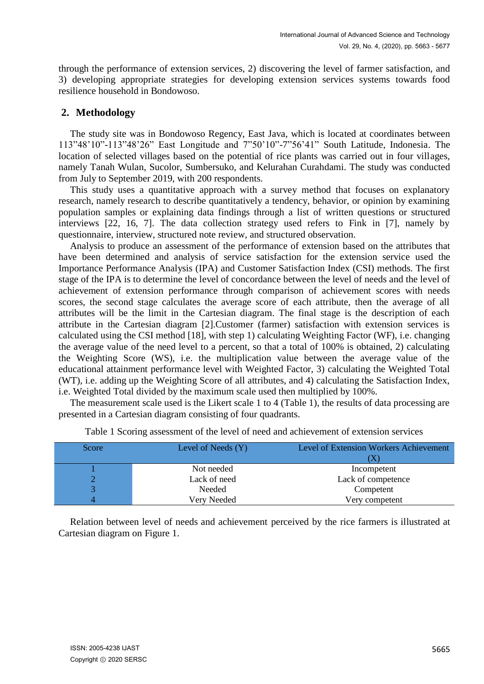through the performance of extension services, 2) discovering the level of farmer satisfaction, and 3) developing appropriate strategies for developing extension services systems towards food resilience household in Bondowoso.

# **2. Methodology**

The study site was in Bondowoso Regency, East Java, which is located at coordinates between 113"48'10"-113"48'26" East Longitude and 7"50'10"-7"56'41" South Latitude, Indonesia. The location of selected villages based on the potential of rice plants was carried out in four villages, namely Tanah Wulan, Sucolor, Sumbersuko, and Kelurahan Curahdami. The study was conducted from July to September 2019, with 200 respondents.

This study uses a quantitative approach with a survey method that focuses on explanatory research, namely research to describe quantitatively a tendency, behavior, or opinion by examining population samples or explaining data findings through a list of written questions or structured interviews [22, 16, 7]. The data collection strategy used refers to Fink in [7], namely by questionnaire, interview, structured note review, and structured observation.

Analysis to produce an assessment of the performance of extension based on the attributes that have been determined and analysis of service satisfaction for the extension service used the Importance Performance Analysis (IPA) and Customer Satisfaction Index (CSI) methods. The first stage of the IPA is to determine the level of concordance between the level of needs and the level of achievement of extension performance through comparison of achievement scores with needs scores, the second stage calculates the average score of each attribute, then the average of all attributes will be the limit in the Cartesian diagram. The final stage is the description of each attribute in the Cartesian diagram [2].Customer (farmer) satisfaction with extension services is calculated using the CSI method [18], with step 1) calculating Weighting Factor (WF), i.e. changing the average value of the need level to a percent, so that a total of 100% is obtained, 2) calculating the Weighting Score (WS), i.e. the multiplication value between the average value of the educational attainment performance level with Weighted Factor, 3) calculating the Weighted Total (WT), i.e. adding up the Weighting Score of all attributes, and 4) calculating the Satisfaction Index, i.e. Weighted Total divided by the maximum scale used then multiplied by 100%.

The measurement scale used is the Likert scale 1 to 4 (Table 1), the results of data processing are presented in a Cartesian diagram consisting of four quadrants.

| Score | Level of Needs (Y) | Level of Extension Workers Achievement |  |  |  |  |
|-------|--------------------|----------------------------------------|--|--|--|--|
|       |                    |                                        |  |  |  |  |
|       | Not needed         | Incompetent                            |  |  |  |  |
|       | Lack of need       | Lack of competence                     |  |  |  |  |
|       | Needed             | Competent                              |  |  |  |  |
|       | Very Needed        | Very competent                         |  |  |  |  |

Table 1 Scoring assessment of the level of need and achievement of extension services

Relation between level of needs and achievement perceived by the rice farmers is illustrated at Cartesian diagram on Figure 1.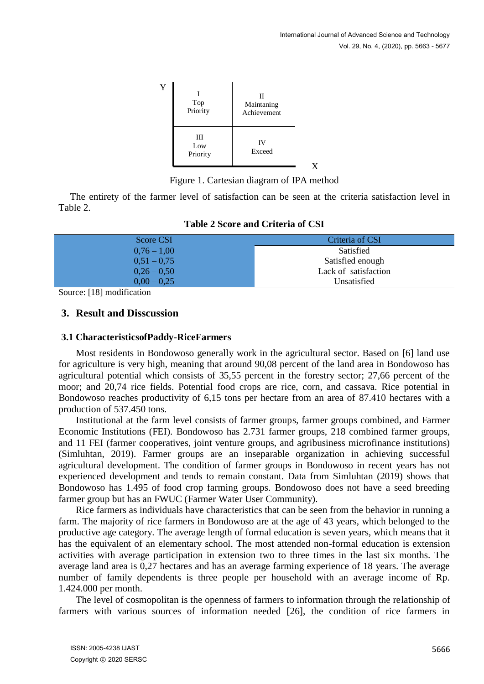

Figure 1. Cartesian diagram of IPA method

The entirety of the farmer level of satisfaction can be seen at the criteria satisfaction level in Table 2.

| Score CSI     | Criteria of CSI      |
|---------------|----------------------|
| $0,76 - 1,00$ | Satisfied            |
| $0,51 - 0,75$ | Satisfied enough     |
| $0,26 - 0,50$ | Lack of satisfaction |
| $0.00 - 0.25$ | Unsatisfied          |

### **Table 2 Score and Criteria of CSI**

Source: [18] modification

### **3. Result and Disscussion**

#### **3.1 CharacteristicsofPaddy-RiceFarmers**

Most residents in Bondowoso generally work in the agricultural sector. Based on [6] land use for agriculture is very high, meaning that around 90,08 percent of the land area in Bondowoso has agricultural potential which consists of 35,55 percent in the forestry sector; 27,66 percent of the moor; and 20,74 rice fields. Potential food crops are rice, corn, and cassava. Rice potential in Bondowoso reaches productivity of 6,15 tons per hectare from an area of 87.410 hectares with a production of 537.450 tons.

Institutional at the farm level consists of farmer groups, farmer groups combined, and Farmer Economic Institutions (FEI). Bondowoso has 2.731 farmer groups, 218 combined farmer groups, and 11 FEI (farmer cooperatives, joint venture groups, and agribusiness microfinance institutions) (Simluhtan, 2019). Farmer groups are an inseparable organization in achieving successful agricultural development. The condition of farmer groups in Bondowoso in recent years has not experienced development and tends to remain constant. Data from Simluhtan (2019) shows that Bondowoso has 1.495 of food crop farming groups. Bondowoso does not have a seed breeding farmer group but has an FWUC (Farmer Water User Community).

Rice farmers as individuals have characteristics that can be seen from the behavior in running a farm. The majority of rice farmers in Bondowoso are at the age of 43 years, which belonged to the productive age category. The average length of formal education is seven years, which means that it has the equivalent of an elementary school. The most attended non-formal education is extension activities with average participation in extension two to three times in the last six months. The average land area is 0,27 hectares and has an average farming experience of 18 years. The average number of family dependents is three people per household with an average income of Rp. 1.424.000 per month.

The level of cosmopolitan is the openness of farmers to information through the relationship of farmers with various sources of information needed [26], the condition of rice farmers in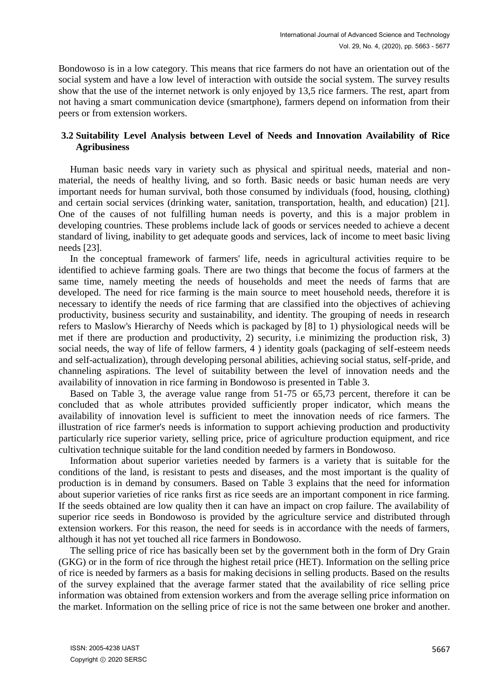Bondowoso is in a low category. This means that rice farmers do not have an orientation out of the social system and have a low level of interaction with outside the social system. The survey results show that the use of the internet network is only enjoyed by 13,5 rice farmers. The rest, apart from not having a smart communication device (smartphone), farmers depend on information from their peers or from extension workers.

# **3.2 Suitability Level Analysis between Level of Needs and Innovation Availability of Rice Agribusiness**

Human basic needs vary in variety such as physical and spiritual needs, material and nonmaterial, the needs of healthy living, and so forth. Basic needs or basic human needs are very important needs for human survival, both those consumed by individuals (food, housing, clothing) and certain social services (drinking water, sanitation, transportation, health, and education) [21]. One of the causes of not fulfilling human needs is poverty, and this is a major problem in developing countries. These problems include lack of goods or services needed to achieve a decent standard of living, inability to get adequate goods and services, lack of income to meet basic living needs [23].

In the conceptual framework of farmers' life, needs in agricultural activities require to be identified to achieve farming goals. There are two things that become the focus of farmers at the same time, namely meeting the needs of households and meet the needs of farms that are developed. The need for rice farming is the main source to meet household needs, therefore it is necessary to identify the needs of rice farming that are classified into the objectives of achieving productivity, business security and sustainability, and identity. The grouping of needs in research refers to Maslow's Hierarchy of Needs which is packaged by [8] to 1) physiological needs will be met if there are production and productivity, 2) security, i.e minimizing the production risk, 3) social needs, the way of life of fellow farmers, 4 ) identity goals (packaging of self-esteem needs and self-actualization), through developing personal abilities, achieving social status, self-pride, and channeling aspirations. The level of suitability between the level of innovation needs and the availability of innovation in rice farming in Bondowoso is presented in Table 3.

Based on Table 3, the average value range from 51-75 or 65,73 percent, therefore it can be concluded that as whole attributes provided sufficiently proper indicator, which means the availability of innovation level is sufficient to meet the innovation needs of rice farmers. The illustration of rice farmer's needs is information to support achieving production and productivity particularly rice superior variety, selling price, price of agriculture production equipment, and rice cultivation technique suitable for the land condition needed by farmers in Bondowoso.

Information about superior varieties needed by farmers is a variety that is suitable for the conditions of the land, is resistant to pests and diseases, and the most important is the quality of production is in demand by consumers. Based on Table 3 explains that the need for information about superior varieties of rice ranks first as rice seeds are an important component in rice farming. If the seeds obtained are low quality then it can have an impact on crop failure. The availability of superior rice seeds in Bondowoso is provided by the agriculture service and distributed through extension workers. For this reason, the need for seeds is in accordance with the needs of farmers, although it has not yet touched all rice farmers in Bondowoso.

The selling price of rice has basically been set by the government both in the form of Dry Grain (GKG) or in the form of rice through the highest retail price (HET). Information on the selling price of rice is needed by farmers as a basis for making decisions in selling products. Based on the results of the survey explained that the average farmer stated that the availability of rice selling price information was obtained from extension workers and from the average selling price information on the market. Information on the selling price of rice is not the same between one broker and another.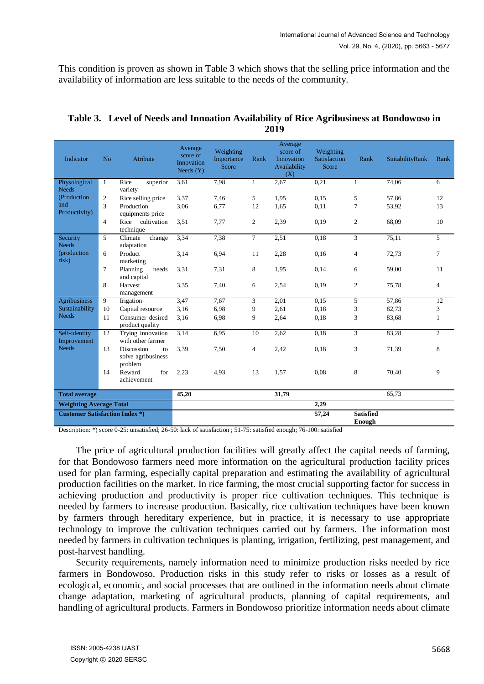This condition is proven as shown in Table 3 which shows that the selling price information and the availability of information are less suitable to the needs of the community.

| Indicator                             | N <sub>o</sub> | Atribute                                          | Average<br>score of<br>Innovation<br>Needs $(Y)$ | Weighting<br>Importance<br>Score | Rank           | Average<br>score of<br>Innovation<br>Availability<br>(X) | Weighting<br>Satisfaction<br>Score | Rank           | SuitabilityRank | Rank           |
|---------------------------------------|----------------|---------------------------------------------------|--------------------------------------------------|----------------------------------|----------------|----------------------------------------------------------|------------------------------------|----------------|-----------------|----------------|
| Physological<br><b>Needs</b>          | $\mathbf{1}$   | Rice<br>superior<br>variety                       | 3,61                                             | 7,98                             | $\mathbf{1}$   | 2,67                                                     | 0,21                               | $\mathbf{1}$   | 74,06           | 6              |
| (Production                           | $\overline{c}$ | Rice selling price                                | 3.37                                             | 7,46                             | 5              | 1,95                                                     | 0.15                               | 5              | 57,86           | 12             |
| and<br>Productivity)                  | 3              | Production<br>equipments price                    | 3,06                                             | 6,77                             | 12             | 1,65                                                     | 0,11                               | $\overline{7}$ | 53,92           | 13             |
|                                       | $\overline{4}$ | cultivation<br>Rice<br>technique                  | 3.51                                             | 7,77                             | 2              | 2,39                                                     | 0,19                               | $\mathbf{2}$   | 68,09           | 10             |
| Security<br><b>Needs</b>              | 5              | Climate<br>change<br>adaptation                   | 3,34                                             | 7,38                             | $\overline{7}$ | 2,51                                                     | 0,18                               | $\overline{3}$ | 75,11           | 5              |
| (production<br>risk)                  | 6              | Product<br>marketing                              | 3,14                                             | 6,94                             | 11             | 2,28                                                     | 0,16                               | 4              | 72,73           | 7              |
|                                       | 7              | Planning<br>needs<br>and capital                  | 3.31                                             | 7,31                             | 8              | 1,95                                                     | 0,14                               | 6              | 59,00           | 11             |
|                                       | 8              | Harvest<br>management                             | 3.35                                             | 7,40                             | 6              | 2,54                                                     | 0,19                               | $\overline{2}$ | 75,78           | $\overline{4}$ |
| <b>Agribusiness</b>                   | 9              | Irigation                                         | 3,47                                             | 7,67                             | 3              | 2,01                                                     | 0,15                               | 5              | 57,86           | 12             |
| Sustainability                        | 10             | Capital resource                                  | 3,16                                             | 6,98                             | 9              | 2,61                                                     | 0,18                               | 3              | 82,73           | 3              |
| <b>Needs</b>                          | 11             | Consumer desired<br>product quality               | 3.16                                             | 6.98                             | 9              | 2,64                                                     | 0,18                               | 3              | 83,68           | $\mathbf{1}$   |
| Self-identity<br>Improvement          | 12             | Trying innovation<br>with other farmer            | 3.14                                             | 6,95                             | 10             | 2,62                                                     | 0.18                               | 3              | 83,28           | $\overline{2}$ |
| <b>Needs</b>                          | 13             | Discussion<br>to<br>solve agribusiness<br>problem | 3.39                                             | 7,50                             | 4              | 2,42                                                     | 0,18                               | 3              | 71,39           | 8              |
|                                       | 14             | Reward<br>for<br>achievement                      | 2,23                                             | 4,93                             | 13             | 1,57                                                     | 0,08                               | 8              | 70,40           | 9              |
| <b>Total average</b>                  |                | 45,20                                             |                                                  |                                  | 31,79          |                                                          |                                    | 65,73          |                 |                |
| <b>Weighting Average Total</b>        |                |                                                   |                                                  |                                  |                |                                                          | 2,29                               |                |                 |                |
| <b>Customer Satisfaction Index *)</b> |                |                                                   |                                                  |                                  |                | 57,24                                                    | <b>Satisfied</b><br>Enough         |                |                 |                |

## **Table 3. Level of Needs and Innoation Availability of Rice Agribusiness at Bondowoso in 2019**

Description: \*) score 0-25: unsatisfied; 26-50: lack of satisfaction ; 51-75: satisfied enough; 76-100: satisfied

The price of agricultural production facilities will greatly affect the capital needs of farming, for that Bondowoso farmers need more information on the agricultural production facility prices used for plan farming, especially capital preparation and estimating the availability of agricultural production facilities on the market. In rice farming, the most crucial supporting factor for success in achieving production and productivity is proper rice cultivation techniques. This technique is needed by farmers to increase production. Basically, rice cultivation techniques have been known by farmers through hereditary experience, but in practice, it is necessary to use appropriate technology to improve the cultivation techniques carried out by farmers. The information most needed by farmers in cultivation techniques is planting, irrigation, fertilizing, pest management, and post-harvest handling.

Security requirements, namely information need to minimize production risks needed by rice farmers in Bondowoso. Production risks in this study refer to risks or losses as a result of ecological, economic, and social processes that are outlined in the information needs about climate change adaptation, marketing of agricultural products, planning of capital requirements, and handling of agricultural products. Farmers in Bondowoso prioritize information needs about climate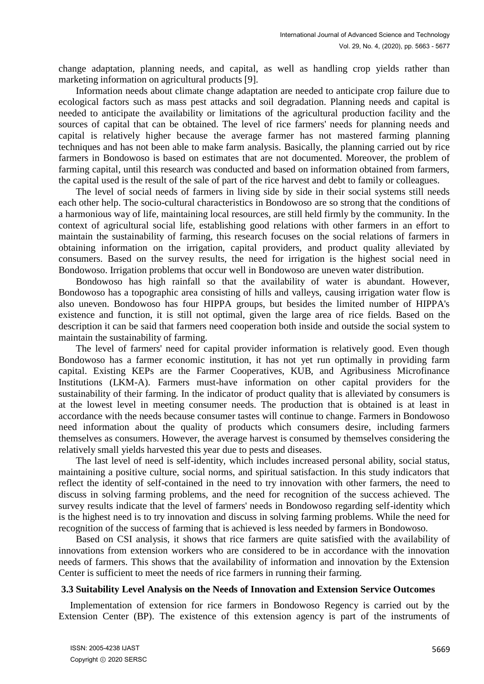change adaptation, planning needs, and capital, as well as handling crop yields rather than marketing information on agricultural products [9].

Information needs about climate change adaptation are needed to anticipate crop failure due to ecological factors such as mass pest attacks and soil degradation. Planning needs and capital is needed to anticipate the availability or limitations of the agricultural production facility and the sources of capital that can be obtained. The level of rice farmers' needs for planning needs and capital is relatively higher because the average farmer has not mastered farming planning techniques and has not been able to make farm analysis. Basically, the planning carried out by rice farmers in Bondowoso is based on estimates that are not documented. Moreover, the problem of farming capital, until this research was conducted and based on information obtained from farmers, the capital used is the result of the sale of part of the rice harvest and debt to family or colleagues.

The level of social needs of farmers in living side by side in their social systems still needs each other help. The socio-cultural characteristics in Bondowoso are so strong that the conditions of a harmonious way of life, maintaining local resources, are still held firmly by the community. In the context of agricultural social life, establishing good relations with other farmers in an effort to maintain the sustainability of farming, this research focuses on the social relations of farmers in obtaining information on the irrigation, capital providers, and product quality alleviated by consumers. Based on the survey results, the need for irrigation is the highest social need in Bondowoso. Irrigation problems that occur well in Bondowoso are uneven water distribution.

Bondowoso has high rainfall so that the availability of water is abundant. However, Bondowoso has a topographic area consisting of hills and valleys, causing irrigation water flow is also uneven. Bondowoso has four HIPPA groups, but besides the limited number of HIPPA's existence and function, it is still not optimal, given the large area of rice fields. Based on the description it can be said that farmers need cooperation both inside and outside the social system to maintain the sustainability of farming.

The level of farmers' need for capital provider information is relatively good. Even though Bondowoso has a farmer economic institution, it has not yet run optimally in providing farm capital. Existing KEPs are the Farmer Cooperatives, KUB, and Agribusiness Microfinance Institutions (LKM-A). Farmers must-have information on other capital providers for the sustainability of their farming. In the indicator of product quality that is alleviated by consumers is at the lowest level in meeting consumer needs. The production that is obtained is at least in accordance with the needs because consumer tastes will continue to change. Farmers in Bondowoso need information about the quality of products which consumers desire, including farmers themselves as consumers. However, the average harvest is consumed by themselves considering the relatively small yields harvested this year due to pests and diseases.

The last level of need is self-identity, which includes increased personal ability, social status, maintaining a positive culture, social norms, and spiritual satisfaction. In this study indicators that reflect the identity of self-contained in the need to try innovation with other farmers, the need to discuss in solving farming problems, and the need for recognition of the success achieved. The survey results indicate that the level of farmers' needs in Bondowoso regarding self-identity which is the highest need is to try innovation and discuss in solving farming problems. While the need for recognition of the success of farming that is achieved is less needed by farmers in Bondowoso.

Based on CSI analysis, it shows that rice farmers are quite satisfied with the availability of innovations from extension workers who are considered to be in accordance with the innovation needs of farmers. This shows that the availability of information and innovation by the Extension Center is sufficient to meet the needs of rice farmers in running their farming.

#### **3.3 Suitability Level Analysis on the Needs of Innovation and Extension Service Outcomes**

Implementation of extension for rice farmers in Bondowoso Regency is carried out by the Extension Center (BP). The existence of this extension agency is part of the instruments of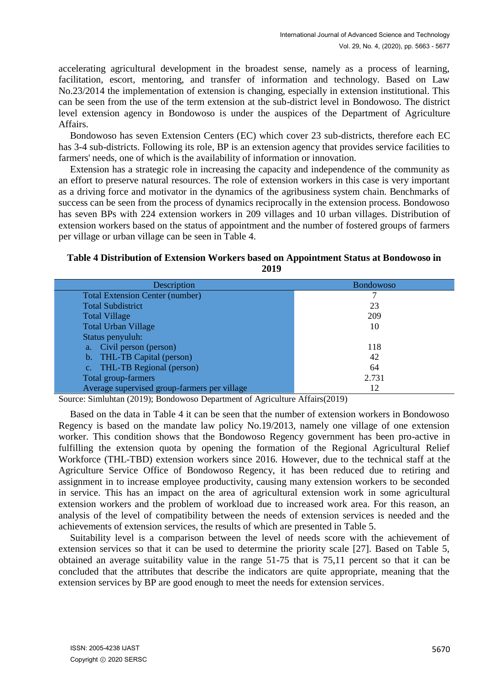accelerating agricultural development in the broadest sense, namely as a process of learning, facilitation, escort, mentoring, and transfer of information and technology. Based on Law No.23/2014 the implementation of extension is changing, especially in extension institutional. This can be seen from the use of the term extension at the sub-district level in Bondowoso. The district level extension agency in Bondowoso is under the auspices of the Department of Agriculture Affairs.

Bondowoso has seven Extension Centers (EC) which cover 23 sub-districts, therefore each EC has 3-4 sub-districts. Following its role, BP is an extension agency that provides service facilities to farmers' needs, one of which is the availability of information or innovation.

Extension has a strategic role in increasing the capacity and independence of the community as an effort to preserve natural resources. The role of extension workers in this case is very important as a driving force and motivator in the dynamics of the agribusiness system chain. Benchmarks of success can be seen from the process of dynamics reciprocally in the extension process. Bondowoso has seven BPs with 224 extension workers in 209 villages and 10 urban villages. Distribution of extension workers based on the status of appointment and the number of fostered groups of farmers per village or urban village can be seen in Table 4.

## **Table 4 Distribution of Extension Workers based on Appointment Status at Bondowoso in 2019**

| Description                                  | <b>Bondowoso</b> |
|----------------------------------------------|------------------|
| <b>Total Extension Center (number)</b>       |                  |
| <b>Total Subdistrict</b>                     | 23               |
| <b>Total Village</b>                         | 209              |
| <b>Total Urban Village</b>                   | 10               |
| Status penyuluh:                             |                  |
| a. Civil person (person)                     | 118              |
| b. THL-TB Capital (person)                   | 42               |
| c. THL-TB Regional (person)                  | 64               |
| Total group-farmers                          | 2.731            |
| Average supervised group-farmers per village | 12               |

Source: Simluhtan (2019); Bondowoso Department of Agriculture Affairs(2019)

Based on the data in Table 4 it can be seen that the number of extension workers in Bondowoso Regency is based on the mandate law policy No.19/2013, namely one village of one extension worker. This condition shows that the Bondowoso Regency government has been pro-active in fulfilling the extension quota by opening the formation of the Regional Agricultural Relief Workforce (THL-TBD) extension workers since 2016. However, due to the technical staff at the Agriculture Service Office of Bondowoso Regency, it has been reduced due to retiring and assignment in to increase employee productivity, causing many extension workers to be seconded in service. This has an impact on the area of agricultural extension work in some agricultural extension workers and the problem of workload due to increased work area. For this reason, an analysis of the level of compatibility between the needs of extension services is needed and the achievements of extension services, the results of which are presented in Table 5.

Suitability level is a comparison between the level of needs score with the achievement of extension services so that it can be used to determine the priority scale [27]. Based on Table 5, obtained an average suitability value in the range 51-75 that is 75,11 percent so that it can be concluded that the attributes that describe the indicators are quite appropriate, meaning that the extension services by BP are good enough to meet the needs for extension services.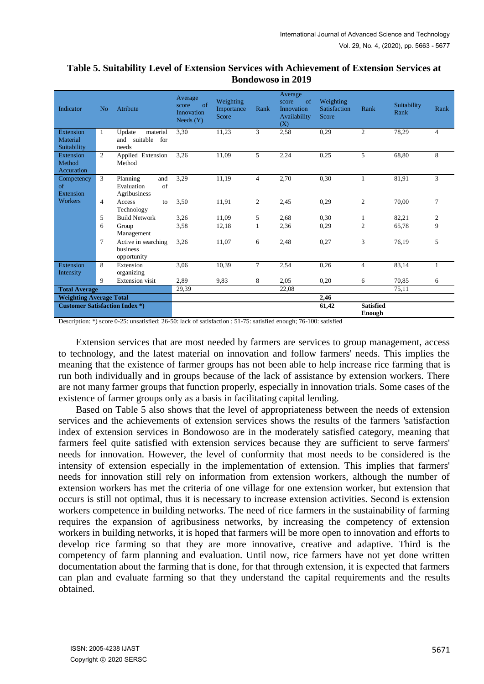| Indicator                                | N <sub>o</sub> | Atribute                                              | Average<br>$\alpha$<br>score<br>Innovation<br>Needs $(Y)$ | Weighting<br>Importance<br>Score | Rank              | Average<br>of<br>score<br>Innovation<br>Availability<br>(X) | Weighting<br><b>Satisfaction</b><br>Score | Rank           | Suitability<br>Rank | Rank           |
|------------------------------------------|----------------|-------------------------------------------------------|-----------------------------------------------------------|----------------------------------|-------------------|-------------------------------------------------------------|-------------------------------------------|----------------|---------------------|----------------|
| Extension<br>Material<br>Suitability     | 1              | Update<br>material<br>suitable<br>for<br>and<br>needs | 3,30                                                      | 11,23                            | 3                 | 2,58                                                        | 0,29                                      | 2              | 78,29               | $\overline{4}$ |
| Extension<br>Method<br>Accuration        | $\overline{2}$ | Applied Extension<br>Method                           | 3,26                                                      | 11,09                            | 5                 | 2,24                                                        | 0,25                                      | 5              | 68,80               | 8              |
| Competency<br><sub>of</sub><br>Extension | 3              | Planning<br>and<br>of<br>Evaluation<br>Agribusiness   | 3,29                                                      | 11,19                            | $\overline{4}$    | 2,70                                                        | 0,30                                      | $\mathbf{1}$   | 81,91               | 3              |
| Workers                                  | $\overline{4}$ | Access<br>to<br>Technology                            | 3,50                                                      | 11,91                            | $\overline{2}$    | 2,45                                                        | 0,29                                      | $\mathfrak{2}$ | 70,00               | 7              |
|                                          | 5              | <b>Build Network</b>                                  | 3,26                                                      | 11.09                            | 5                 | 2,68                                                        | 0,30                                      | 1              | 82,21               | $\overline{c}$ |
|                                          | 6              | Group<br>Management                                   | 3,58                                                      | 12,18                            | 1                 | 2,36                                                        | 0,29                                      | $\overline{2}$ | 65,78               | 9              |
|                                          | 7              | Active in searching<br>business<br>opportunity        | 3,26                                                      | 11,07                            | 6                 | 2,48                                                        | 0,27                                      | 3              | 76,19               | 5              |
| Extension<br>Intensity                   | 8              | Extension<br>organizing                               | 3,06                                                      | 10,39                            | $\overline{\tau}$ | 2,54                                                        | 0,26                                      | $\overline{4}$ | 83,14               | 1              |
|                                          | 9              | <b>Extension</b> visit                                | 2,89                                                      | 9,83                             | 8                 | 2,05                                                        | 0,20                                      | 6              | 70,85               | 6              |
| <b>Total Average</b>                     |                | 29,39                                                 |                                                           |                                  | 22,08             |                                                             |                                           | 75,11          |                     |                |
| <b>Weighting Average Total</b>           |                |                                                       |                                                           |                                  |                   | 2,46                                                        |                                           |                |                     |                |
| <b>Customer Satisfaction Index *)</b>    |                |                                                       |                                                           |                                  |                   | 61,42                                                       | <b>Satisfied</b><br>Enough                |                |                     |                |

## **Table 5. Suitability Level of Extension Services with Achievement of Extension Services at Bondowoso in 2019**

Description: \*) score 0-25: unsatisfied; 26-50: lack of satisfaction ; 51-75: satisfied enough; 76-100: satisfied

Extension services that are most needed by farmers are services to group management, access to technology, and the latest material on innovation and follow farmers' needs. This implies the meaning that the existence of farmer groups has not been able to help increase rice farming that is run both individually and in groups because of the lack of assistance by extension workers. There are not many farmer groups that function properly, especially in innovation trials. Some cases of the existence of farmer groups only as a basis in facilitating capital lending.

Based on Table 5 also shows that the level of appropriateness between the needs of extension services and the achievements of extension services shows the results of the farmers 'satisfaction index of extension services in Bondowoso are in the moderately satisfied category, meaning that farmers feel quite satisfied with extension services because they are sufficient to serve farmers' needs for innovation. However, the level of conformity that most needs to be considered is the intensity of extension especially in the implementation of extension. This implies that farmers' needs for innovation still rely on information from extension workers, although the number of extension workers has met the criteria of one village for one extension worker, but extension that occurs is still not optimal, thus it is necessary to increase extension activities. Second is extension workers competence in building networks. The need of rice farmers in the sustainability of farming requires the expansion of agribusiness networks, by increasing the competency of extension workers in building networks, it is hoped that farmers will be more open to innovation and efforts to develop rice farming so that they are more innovative, creative and adaptive. Third is the competency of farm planning and evaluation. Until now, rice farmers have not yet done written documentation about the farming that is done, for that through extension, it is expected that farmers can plan and evaluate farming so that they understand the capital requirements and the results obtained.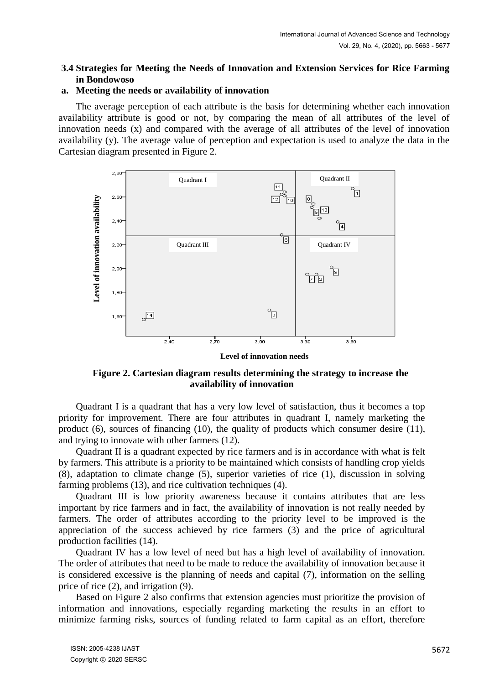## **3.4 Strategies for Meeting the Needs of Innovation and Extension Services for Rice Farming in Bondowoso**

#### **a. Meeting the needs or availability of innovation**

The average perception of each attribute is the basis for determining whether each innovation availability attribute is good or not, by comparing the mean of all attributes of the level of innovation needs (x) and compared with the average of all attributes of the level of innovation availability (y). The average value of perception and expectation is used to analyze the data in the Cartesian diagram presented in Figure 2.



**Level of innovation needs**

**Figure 2. Cartesian diagram results determining the strategy to increase the availability of innovation**

Quadrant I is a quadrant that has a very low level of satisfaction, thus it becomes a top priority for improvement. There are four attributes in quadrant I, namely marketing the product (6), sources of financing (10), the quality of products which consumer desire (11), and trying to innovate with other farmers (12).

Quadrant II is a quadrant expected by rice farmers and is in accordance with what is felt by farmers. This attribute is a priority to be maintained which consists of handling crop yields (8), adaptation to climate change (5), superior varieties of rice (1), discussion in solving farming problems (13), and rice cultivation techniques (4).

Quadrant III is low priority awareness because it contains attributes that are less important by rice farmers and in fact, the availability of innovation is not really needed by farmers. The order of attributes according to the priority level to be improved is the appreciation of the success achieved by rice farmers (3) and the price of agricultural production facilities (14).

Quadrant IV has a low level of need but has a high level of availability of innovation. The order of attributes that need to be made to reduce the availability of innovation because it is considered excessive is the planning of needs and capital (7), information on the selling price of rice (2), and irrigation (9).

Based on Figure 2 also confirms that extension agencies must prioritize the provision of information and innovations, especially regarding marketing the results in an effort to minimize farming risks, sources of funding related to farm capital as an effort, therefore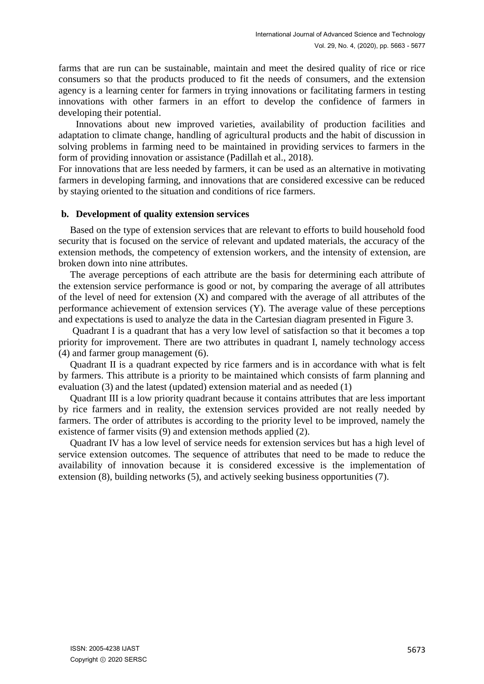farms that are run can be sustainable, maintain and meet the desired quality of rice or rice consumers so that the products produced to fit the needs of consumers, and the extension agency is a learning center for farmers in trying innovations or facilitating farmers in testing innovations with other farmers in an effort to develop the confidence of farmers in developing their potential.

Innovations about new improved varieties, availability of production facilities and adaptation to climate change, handling of agricultural products and the habit of discussion in solving problems in farming need to be maintained in providing services to farmers in the form of providing innovation or assistance (Padillah et al., 2018).

For innovations that are less needed by farmers, it can be used as an alternative in motivating farmers in developing farming, and innovations that are considered excessive can be reduced by staying oriented to the situation and conditions of rice farmers.

#### **b. Development of quality extension services**

Based on the type of extension services that are relevant to efforts to build household food security that is focused on the service of relevant and updated materials, the accuracy of the extension methods, the competency of extension workers, and the intensity of extension, are broken down into nine attributes.

The average perceptions of each attribute are the basis for determining each attribute of the extension service performance is good or not, by comparing the average of all attributes of the level of need for extension (X) and compared with the average of all attributes of the performance achievement of extension services (Y). The average value of these perceptions and expectations is used to analyze the data in the Cartesian diagram presented in Figure 3.

Quadrant I is a quadrant that has a very low level of satisfaction so that it becomes a top priority for improvement. There are two attributes in quadrant I, namely technology access (4) and farmer group management (6).

Quadrant II is a quadrant expected by rice farmers and is in accordance with what is felt by farmers. This attribute is a priority to be maintained which consists of farm planning and evaluation (3) and the latest (updated) extension material and as needed (1)

Quadrant III is a low priority quadrant because it contains attributes that are less important by rice farmers and in reality, the extension services provided are not really needed by farmers. The order of attributes is according to the priority level to be improved, namely the existence of farmer visits (9) and extension methods applied (2).

Quadrant IV has a low level of service needs for extension services but has a high level of service extension outcomes. The sequence of attributes that need to be made to reduce the availability of innovation because it is considered excessive is the implementation of extension (8), building networks (5), and actively seeking business opportunities (7).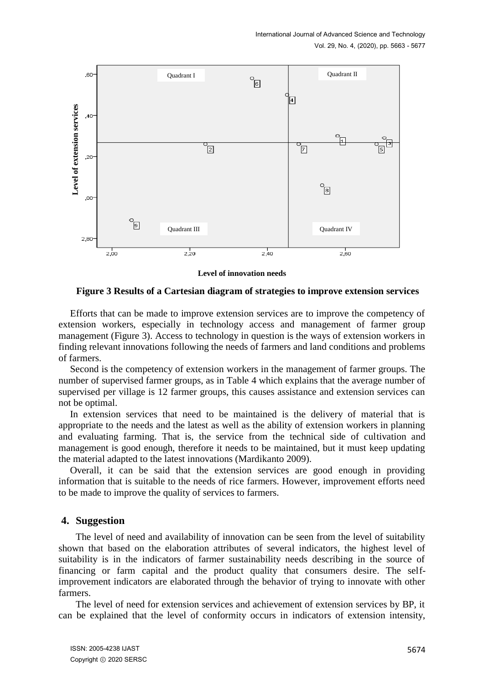

**Level of innovation needs**

**Figure 3 Results of a Cartesian diagram of strategies to improve extension services**

Efforts that can be made to improve extension services are to improve the competency of extension workers, especially in technology access and management of farmer group management (Figure 3). Access to technology in question is the ways of extension workers in finding relevant innovations following the needs of farmers and land conditions and problems of farmers.

Second is the competency of extension workers in the management of farmer groups. The number of supervised farmer groups, as in Table 4 which explains that the average number of supervised per village is 12 farmer groups, this causes assistance and extension services can not be optimal.

In extension services that need to be maintained is the delivery of material that is appropriate to the needs and the latest as well as the ability of extension workers in planning and evaluating farming. That is, the service from the technical side of cultivation and management is good enough, therefore it needs to be maintained, but it must keep updating the material adapted to the latest innovations (Mardikanto 2009).

Overall, it can be said that the extension services are good enough in providing information that is suitable to the needs of rice farmers. However, improvement efforts need to be made to improve the quality of services to farmers.

### **4. Suggestion**

The level of need and availability of innovation can be seen from the level of suitability shown that based on the elaboration attributes of several indicators, the highest level of suitability is in the indicators of farmer sustainability needs describing in the source of financing or farm capital and the product quality that consumers desire. The selfimprovement indicators are elaborated through the behavior of trying to innovate with other farmers.

The level of need for extension services and achievement of extension services by BP, it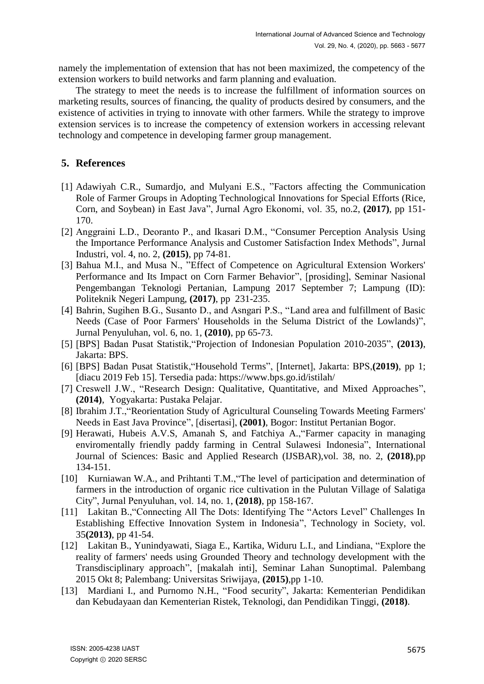namely the implementation of extension that has not been maximized, the competency of the extension workers to build networks and farm planning and evaluation.

The strategy to meet the needs is to increase the fulfillment of information sources on marketing results, sources of financing, the quality of products desired by consumers, and the existence of activities in trying to innovate with other farmers. While the strategy to improve extension services is to increase the competency of extension workers in accessing relevant technology and competence in developing farmer group management.

# **5. References**

- [1] Adawiyah C.R., Sumardjo, and Mulyani E.S., "Factors affecting the Communication Role of Farmer Groups in Adopting Technological Innovations for Special Efforts (Rice, Corn, and Soybean) in East Java", Jurnal Agro Ekonomi, vol. 35, no.2, **(2017)**, pp 151- 170.
- [2] Anggraini L.D., Deoranto P., and Ikasari D.M., "Consumer Perception Analysis Using the Importance Performance Analysis and Customer Satisfaction Index Methods", Jurnal Industri, vol. 4, no. 2, **(2015)**, pp 74-81.
- [3] Bahua M.I., and Musa N., "Effect of Competence on Agricultural Extension Workers' Performance and Its Impact on Corn Farmer Behavior", [prosiding], Seminar Nasional Pengembangan Teknologi Pertanian, Lampung 2017 September 7; Lampung (ID): Politeknik Negeri Lampung, **(2017)**, pp 231-235.
- [4] Bahrin, Sugihen B.G., Susanto D., and Asngari P.S., "Land area and fulfillment of Basic Needs (Case of Poor Farmers' Households in the Seluma District of the Lowlands)", Jurnal Penyuluhan, vol. 6, no. 1, **(2010)**, pp 65-73.
- [5] [BPS] Badan Pusat Statistik,"Projection of Indonesian Population 2010-2035", **(2013)**, Jakarta: BPS.
- [6] [BPS] Badan Pusat Statistik,"Household Terms", [Internet], Jakarta: BPS,**(2019)**, pp 1; [diacu 2019 Feb 15]. Tersedia pada: https://www.bps.go.id/istilah/
- [7] Creswell J.W., "Research Design: Qualitative, Quantitative, and Mixed Approaches", **(2014)**, Yogyakarta: Pustaka Pelajar.
- [8] Ibrahim J.T.,"Reorientation Study of Agricultural Counseling Towards Meeting Farmers' Needs in East Java Province", [disertasi], **(2001)**, Bogor: Institut Pertanian Bogor.
- [9] Herawati, Hubeis A.V.S, Amanah S, and Fatchiya A.,"Farmer capacity in managing enviromentally friendly paddy farming in Central Sulawesi Indonesia", International Journal of Sciences: Basic and Applied Research (IJSBAR),vol. 38, no. 2, **(2018)**,pp 134-151.
- [10] Kurniawan W.A., and Prihtanti T.M.,"The level of participation and determination of farmers in the introduction of organic rice cultivation in the Pulutan Village of Salatiga City", Jurnal Penyuluhan, vol. 14, no. 1, **(2018)**, pp 158-167.
- [11] Lakitan B.,"Connecting All The Dots: Identifying The "Actors Level" Challenges In Establishing Effective Innovation System in Indonesia", Technology in Society, vol. 35**(2013)**, pp 41-54.
- [12] Lakitan B., Yunindyawati, Siaga E., Kartika, Widuru L.I., and Lindiana, "Explore the reality of farmers' needs using Grounded Theory and technology development with the Transdisciplinary approach", [makalah inti], Seminar Lahan Sunoptimal. Palembang 2015 Okt 8; Palembang: Universitas Sriwijaya, **(2015)**,pp 1-10.
- [13] Mardiani I., and Purnomo N.H., "Food security", Jakarta: Kementerian Pendidikan dan Kebudayaan dan Kementerian Ristek, Teknologi, dan Pendidikan Tinggi, **(2018)**.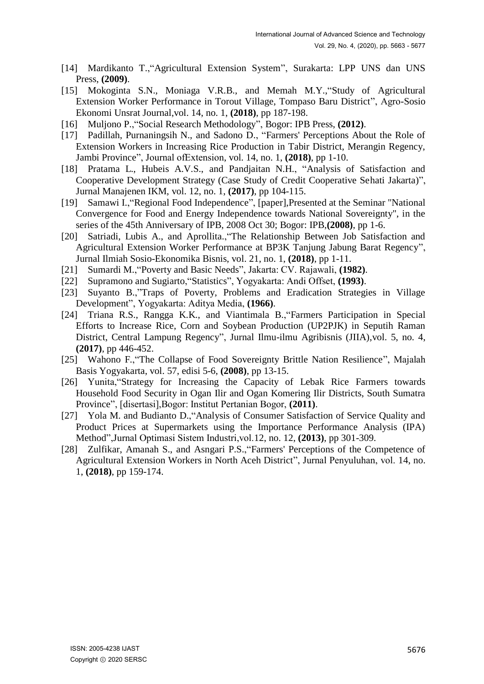- [14] Mardikanto T.,"Agricultural Extension System", Surakarta: LPP UNS dan UNS Press, **(2009)**.
- [15] Mokoginta S.N., Moniaga V.R.B., and Memah M.Y.,"Study of Agricultural Extension Worker Performance in Torout Village, Tompaso Baru District", Agro-Sosio Ekonomi Unsrat Journal,vol. 14, no. 1, **(2018)**, pp 187-198.
- [16] Muljono P.,"Social Research Methodology", Bogor: IPB Press, **(2012)**.
- [17] Padillah, Purnaningsih N., and Sadono D., "Farmers' Perceptions About the Role of Extension Workers in Increasing Rice Production in Tabir District, Merangin Regency, Jambi Province", Journal ofExtension, vol. 14, no. 1, **(2018)**, pp 1-10.
- [18] Pratama L., Hubeis A.V.S., and Pandjaitan N.H., "Analysis of Satisfaction and Cooperative Development Strategy (Case Study of Credit Cooperative Sehati Jakarta)", Jurnal Manajenen IKM, vol. 12, no. 1, **(2017)**, pp 104-115.
- [19] Samawi I.,"Regional Food Independence", [paper],Presented at the Seminar "National Convergence for Food and Energy Independence towards National Sovereignty", in the series of the 45th Anniversary of IPB, 2008 Oct 30; Bogor: IPB,**(2008)**, pp 1-6.
- [20] Satriadi, Lubis A., and Aprollita.,"The Relationship Between Job Satisfaction and Agricultural Extension Worker Performance at BP3K Tanjung Jabung Barat Regency", Jurnal Ilmiah Sosio-Ekonomika Bisnis, vol. 21, no. 1, **(2018)**, pp 1-11.
- [21] Sumardi M.,"Poverty and Basic Needs", Jakarta: CV. Rajawali, **(1982)**.
- [22] Supramono and Sugiarto,"Statistics", Yogyakarta: Andi Offset, **(1993)**.
- [23] Suyanto B.,"Traps of Poverty, Problems and Eradication Strategies in Village Development", Yogyakarta: Aditya Media, **(1966)**.
- [24] Triana R.S., Rangga K.K., and Viantimala B.,"Farmers Participation in Special Efforts to Increase Rice, Corn and Soybean Production (UP2PJK) in Seputih Raman District, Central Lampung Regency", Jurnal Ilmu-ilmu Agribisnis (JIIA),vol. 5, no. 4, **(2017)**, pp 446-452.
- [25] Wahono F.,"The Collapse of Food Sovereignty Brittle Nation Resilience", Majalah Basis Yogyakarta, vol. 57, edisi 5-6, **(2008)**, pp 13-15.
- [26] Yunita,"Strategy for Increasing the Capacity of Lebak Rice Farmers towards Household Food Security in Ogan Ilir and Ogan Komering Ilir Districts, South Sumatra Province", [disertasi],Bogor: Institut Pertanian Bogor, **(2011)**.
- [27] Yola M. and Budianto D.,"Analysis of Consumer Satisfaction of Service Quality and Product Prices at Supermarkets using the Importance Performance Analysis (IPA) Method",Jurnal Optimasi Sistem Industri,vol.12, no. 12, **(2013)**, pp 301-309.
- [28] Zulfikar, Amanah S., and Asngari P.S.,"Farmers' Perceptions of the Competence of Agricultural Extension Workers in North Aceh District", Jurnal Penyuluhan, vol. 14, no. 1, **(2018)**, pp 159-174.